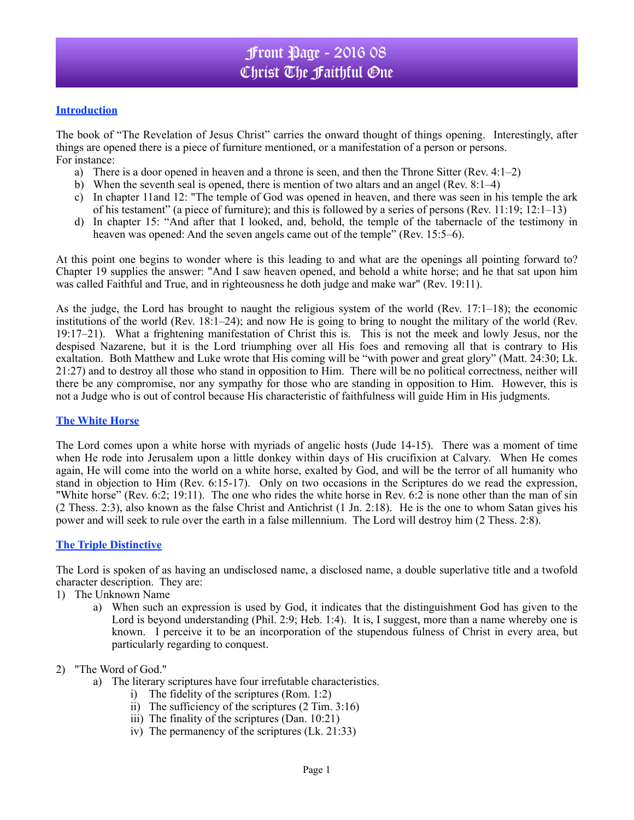### **Introduction**

The book of "The Revelation of Jesus Christ" carries the onward thought of things opening. Interestingly, after things are opened there is a piece of furniture mentioned, or a manifestation of a person or persons. For instance:

- a) There is a door opened in heaven and a throne is seen, and then the Throne Sitter (Rev. 4:1–2)
- b) When the seventh seal is opened, there is mention of two altars and an angel (Rev. 8:1–4)
- c) In chapter 11and 12: "The temple of God was opened in heaven, and there was seen in his temple the ark of his testament" (a piece of furniture); and this is followed by a series of persons (Rev. 11:19; 12:1–13)
- d) In chapter 15: "And after that I looked, and, behold, the temple of the tabernacle of the testimony in heaven was opened: And the seven angels came out of the temple" (Rev. 15:5–6).

At this point one begins to wonder where is this leading to and what are the openings all pointing forward to? Chapter 19 supplies the answer: "And I saw heaven opened, and behold a white horse; and he that sat upon him was called Faithful and True, and in righteousness he doth judge and make war" (Rev. 19:11).

As the judge, the Lord has brought to naught the religious system of the world (Rev. 17:1–18); the economic institutions of the world (Rev. 18:1–24); and now He is going to bring to nought the military of the world (Rev. 19:17–21). What a frightening manifestation of Christ this is. This is not the meek and lowly Jesus, nor the despised Nazarene, but it is the Lord triumphing over all His foes and removing all that is contrary to His exaltation. Both Matthew and Luke wrote that His coming will be "with power and great glory" (Matt. 24:30; Lk. 21:27) and to destroy all those who stand in opposition to Him. There will be no political correctness, neither will there be any compromise, nor any sympathy for those who are standing in opposition to Him. However, this is not a Judge who is out of control because His characteristic of faithfulness will guide Him in His judgments.

#### **The White Horse**

The Lord comes upon a white horse with myriads of angelic hosts (Jude 14-15). There was a moment of time when He rode into Jerusalem upon a little donkey within days of His crucifixion at Calvary. When He comes again, He will come into the world on a white horse, exalted by God, and will be the terror of all humanity who stand in objection to Him (Rev. 6:15-17). Only on two occasions in the Scriptures do we read the expression, "White horse" (Rev. 6:2; 19:11). The one who rides the white horse in Rev. 6:2 is none other than the man of sin (2 Thess. 2:3), also known as the false Christ and Antichrist (1 Jn. 2:18). He is the one to whom Satan gives his power and will seek to rule over the earth in a false millennium. The Lord will destroy him (2 Thess. 2:8).

### **The Triple Distinctive**

The Lord is spoken of as having an undisclosed name, a disclosed name, a double superlative title and a twofold character description. They are:

- 1) The Unknown Name
	- a) When such an expression is used by God, it indicates that the distinguishment God has given to the Lord is beyond understanding (Phil. 2:9; Heb. 1:4). It is, I suggest, more than a name whereby one is known. I perceive it to be an incorporation of the stupendous fulness of Christ in every area, but particularly regarding to conquest.

#### 2) "The Word of God."

- a) The literary scriptures have four irrefutable characteristics.
	- i) The fidelity of the scriptures (Rom. 1:2)
	- ii) The sufficiency of the scriptures (2 Tim. 3:16)
	- iii) The finality of the scriptures (Dan. 10:21)
	- iv) The permanency of the scriptures (Lk. 21:33)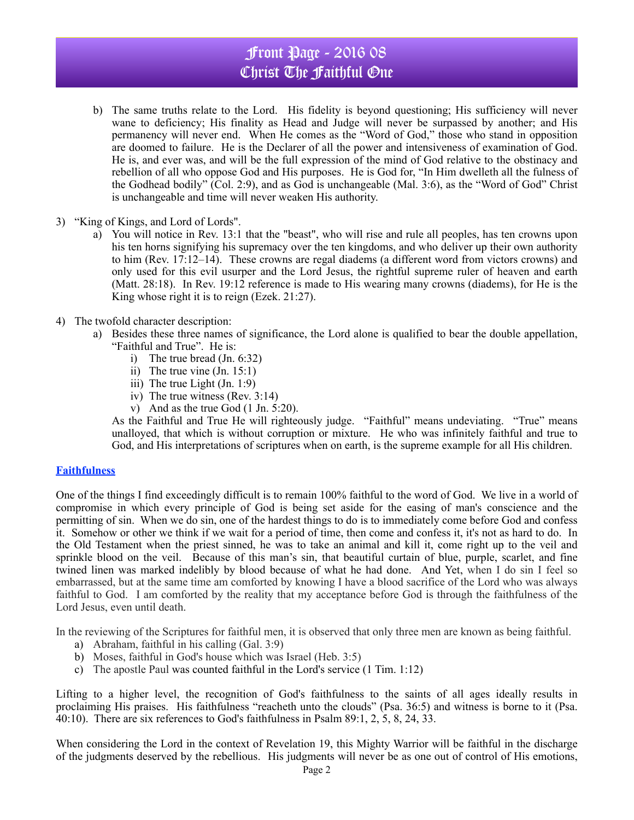# Front Page - 2016 08 Christ The Faithful One

- b) The same truths relate to the Lord. His fidelity is beyond questioning; His sufficiency will never wane to deficiency; His finality as Head and Judge will never be surpassed by another; and His permanency will never end. When He comes as the "Word of God," those who stand in opposition are doomed to failure. He is the Declarer of all the power and intensiveness of examination of God. He is, and ever was, and will be the full expression of the mind of God relative to the obstinacy and rebellion of all who oppose God and His purposes. He is God for, "In Him dwelleth all the fulness of the Godhead bodily" (Col. 2:9), and as God is unchangeable (Mal. 3:6), as the "Word of God" Christ is unchangeable and time will never weaken His authority.
- 3) "King of Kings, and Lord of Lords".
	- a) You will notice in Rev. 13:1 that the "beast", who will rise and rule all peoples, has ten crowns upon his ten horns signifying his supremacy over the ten kingdoms, and who deliver up their own authority to him (Rev. 17:12–14). These crowns are regal diadems (a different word from victors crowns) and only used for this evil usurper and the Lord Jesus, the rightful supreme ruler of heaven and earth (Matt. 28:18). In Rev. 19:12 reference is made to His wearing many crowns (diadems), for He is the King whose right it is to reign (Ezek. 21:27).
- 4) The twofold character description:
	- a) Besides these three names of significance, the Lord alone is qualified to bear the double appellation, "Faithful and True". He is:
		- i) The true bread (Jn. 6:32)
		- ii) The true vine  $($  Jn. 15:1)
		- iii) The true Light (Jn. 1:9)
		- iv) The true witness (Rev. 3:14)
		- v) And as the true God (1 Jn. 5:20).

As the Faithful and True He will righteously judge. "Faithful" means undeviating. "True" means unalloyed, that which is without corruption or mixture. He who was infinitely faithful and true to God, and His interpretations of scriptures when on earth, is the supreme example for all His children.

#### **Faithfulness**

One of the things I find exceedingly difficult is to remain 100% faithful to the word of God. We live in a world of compromise in which every principle of God is being set aside for the easing of man's conscience and the permitting of sin. When we do sin, one of the hardest things to do is to immediately come before God and confess it. Somehow or other we think if we wait for a period of time, then come and confess it, it's not as hard to do. In the Old Testament when the priest sinned, he was to take an animal and kill it, come right up to the veil and sprinkle blood on the veil. Because of this man's sin, that beautiful curtain of blue, purple, scarlet, and fine twined linen was marked indelibly by blood because of what he had done. And Yet, when I do sin I feel so embarrassed, but at the same time am comforted by knowing I have a blood sacrifice of the Lord who was always faithful to God. I am comforted by the reality that my acceptance before God is through the faithfulness of the Lord Jesus, even until death.

In the reviewing of the Scriptures for faithful men, it is observed that only three men are known as being faithful.

- a) Abraham, faithful in his calling (Gal. 3:9)
- b) Moses, faithful in God's house which was Israel (Heb. 3:5)
- c) The apostle Paul was counted faithful in the Lord's service (1 Tim. 1:12)

Lifting to a higher level, the recognition of God's faithfulness to the saints of all ages ideally results in proclaiming His praises. His faithfulness "reacheth unto the clouds" (Psa. 36:5) and witness is borne to it (Psa. 40:10). There are six references to God's faithfulness in Psalm 89:1, 2, 5, 8, 24, 33.

When considering the Lord in the context of Revelation 19, this Mighty Warrior will be faithful in the discharge of the judgments deserved by the rebellious. His judgments will never be as one out of control of His emotions,